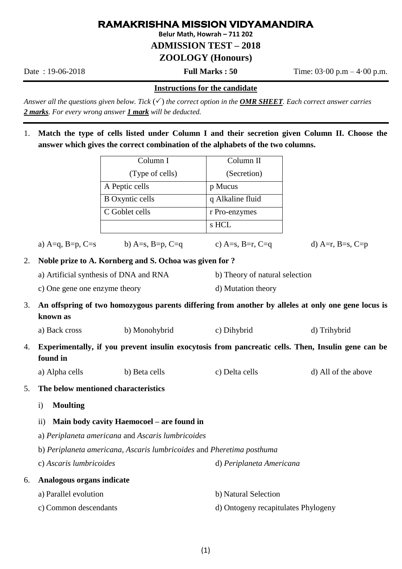## **RAMAKRISHNA MISSION VIDYAMANDIRA**

**Belur Math, Howrah – 711 202**

**ADMISSION TEST – 2018**

**ZOOLOGY (Honours)**

Date : 19-06-2018 **Full Marks : 50** Time: 03·00 p.m – 4·00 p.m.

#### **Instructions for the candidate**

*Answer all the questions given below. Tick*  $(\checkmark)$  *the correct option in the OMR SHEET. Each correct answer carries 2 marks. For every wrong answer 1 mark will be deducted.* 

1. **Match the type of cells listed under Column I and their secretion given Column II. Choose the answer which gives the correct combination of the alphabets of the two columns.**

|                                                                                                                      |                                                                                                                | Column I                          | Column II                           |                     |  |
|----------------------------------------------------------------------------------------------------------------------|----------------------------------------------------------------------------------------------------------------|-----------------------------------|-------------------------------------|---------------------|--|
|                                                                                                                      |                                                                                                                | (Type of cells)                   | (Secretion)                         |                     |  |
|                                                                                                                      |                                                                                                                | A Peptic cells                    | p Mucus                             |                     |  |
|                                                                                                                      |                                                                                                                | <b>B</b> Oxyntic cells            | q Alkaline fluid                    |                     |  |
|                                                                                                                      |                                                                                                                | C Goblet cells                    | r Pro-enzymes                       |                     |  |
|                                                                                                                      |                                                                                                                |                                   | s HCL                               |                     |  |
|                                                                                                                      |                                                                                                                | a) A=q, B=p, C=s b) A=s, B=p, C=q | c) A=s, B=r, C=q                    | d) A=r, B=s, C=p    |  |
| 2.                                                                                                                   | Noble prize to A. Kornberg and S. Ochoa was given for ?                                                        |                                   |                                     |                     |  |
|                                                                                                                      | a) Artificial synthesis of DNA and RNA                                                                         |                                   | b) Theory of natural selection      |                     |  |
|                                                                                                                      | c) One gene one enzyme theory                                                                                  |                                   | d) Mutation theory                  |                     |  |
| 3.                                                                                                                   | An offspring of two homozygous parents differing from another by alleles at only one gene locus is<br>known as |                                   |                                     |                     |  |
|                                                                                                                      | a) Back cross                                                                                                  | b) Monohybrid                     | c) Dihybrid                         | d) Trihybrid        |  |
| Experimentally, if you prevent insulin exocytosis from pancreatic cells. Then, Insulin gene can be<br>4.<br>found in |                                                                                                                |                                   |                                     |                     |  |
|                                                                                                                      | a) Alpha cells                                                                                                 | b) Beta cells                     | c) Delta cells                      | d) All of the above |  |
| 5.                                                                                                                   | The below mentioned characteristics                                                                            |                                   |                                     |                     |  |
|                                                                                                                      | <b>Moulting</b><br>$\mathbf{i}$                                                                                |                                   |                                     |                     |  |
|                                                                                                                      | Main body cavity Haemocoel - are found in<br>$\rm ii)$                                                         |                                   |                                     |                     |  |
|                                                                                                                      | a) Periplaneta americana and Ascaris lumbricoides                                                              |                                   |                                     |                     |  |
|                                                                                                                      | b) Periplaneta americana, Ascaris lumbricoides and Pheretima posthuma                                          |                                   |                                     |                     |  |
|                                                                                                                      | c) Ascaris lumbricoides                                                                                        |                                   | d) Periplaneta Americana            |                     |  |
| 6.                                                                                                                   | Analogous organs indicate                                                                                      |                                   |                                     |                     |  |
|                                                                                                                      | a) Parallel evolution                                                                                          |                                   | b) Natural Selection                |                     |  |
|                                                                                                                      | c) Common descendants                                                                                          |                                   | d) Ontogeny recapitulates Phylogeny |                     |  |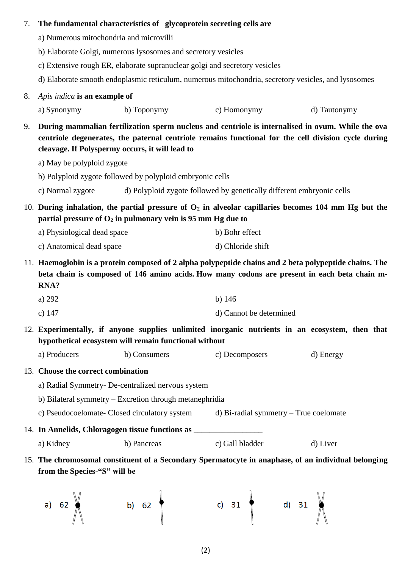### 7. **The fundamental characteristics of glycoprotein secreting cells are**

- a) Numerous mitochondria and microvilli
- b) Elaborate Golgi, numerous lysosomes and secretory vesicles
- c) Extensive rough ER, elaborate supranuclear golgi and secretory vesicles
- d) Elaborate smooth endoplasmic reticulum, numerous mitochondria, secretory vesicles, and lysosomes
- 8. *Apis indica* **is an example of**
	- a) Synonymy b) Toponymy c) Homonymy d) Tautonymy
- 9. **During mammalian fertilization sperm nucleus and centriole is internalised in ovum. While the ova centriole degenerates, the paternal centriole remains functional for the cell division cycle during cleavage. If Polyspermy occurs, it will lead to**
	- a) May be polyploid zygote
	- b) Polyploid zygote followed by polyploid embryonic cells
	- c) Normal zygote d) Polyploid zygote followed by genetically different embryonic cells
- 10. **During inhalation, the partial pressure of O<sup>2</sup> in alveolar capillaries becomes 104 mm Hg but the partial pressure of O<sup>2</sup> in pulmonary vein is 95 mm Hg due to**
	- a) Physiological dead space b) Bohr effect
	- c) Anatomical dead space d) Chloride shift
- 11. **Haemoglobin is a protein composed of 2 alpha polypeptide chains and 2 beta polypeptide chains. The beta chain is composed of 146 amino acids. How many codons are present in each beta chain m-RNA?**
	- a)  $292$  b) 146
	- c) 147 d) Cannot be determined
- 12. **Experimentally, if anyone supplies unlimited inorganic nutrients in an ecosystem, then that hypothetical ecosystem will remain functional without**
	- a) Producers b) Consumers c) Decomposers d) Energy
- 13. **Choose the correct combination**
	- a) Radial Symmetry- De-centralized nervous system
	- b) Bilateral symmetry Excretion through metanephridia
	- c) Pseudocoelomate- Closed circulatory system d) Bi-radial symmetry True coelomate
- 14. **In Annelids, Chloragogen tissue functions as \_\_\_\_\_\_\_\_\_\_\_\_\_\_\_\_\_** a) Kidney b) Pancreas c) Gall bladder d) Liver
- 15. **The chromosomal constituent of a Secondary Spermatocyte in anaphase, of an individual belonging**  from the Species-"S" will be

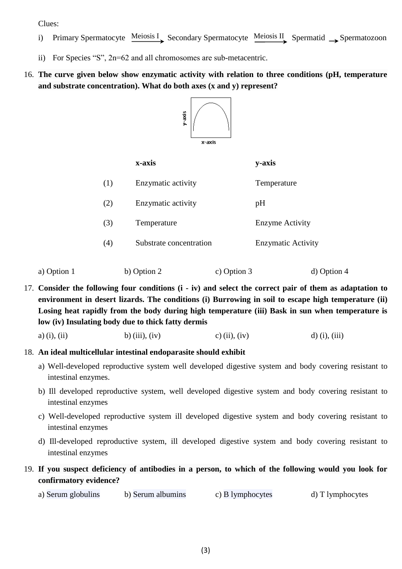Clues:

- i) Primary Spermatocyte Meiosis I Secondary Spermatocyte Meiosis II Spermatid Spermatozoon
- ii) For Species "S", 2n=62 and all chromosomes are sub-metacentric.

## 16. **The curve given below show enzymatic activity with relation to three conditions (pH, temperature and substrate concentration). What do both axes (x and y) represent?**



|     | x-axis                  | y-axis                    |
|-----|-------------------------|---------------------------|
| (1) | Enzymatic activity      | Temperature               |
| (2) | Enzymatic activity      | pH                        |
| (3) | Temperature             | <b>Enzyme Activity</b>    |
| (4) | Substrate concentration | <b>Enzymatic Activity</b> |
|     |                         |                           |

a) Option 1 b) Option 2 c) Option 3 d) Option 4

17. **Consider the following four conditions (i - iv) and select the correct pair of them as adaptation to environment in desert lizards. The conditions (i) Burrowing in soil to escape high temperature (ii) Losing heat rapidly from the body during high temperature (iii) Bask in sun when temperature is low (iv) Insulating body due to thick fatty dermis**

a) (i), (ii) b) (iii), (iv) c) (ii), (iv) d) (i), (iii)

#### 18. **An ideal multicellular intestinal endoparasite should exhibit**

- a) Well-developed reproductive system well developed digestive system and body covering resistant to intestinal enzymes.
- b) Ill developed reproductive system, well developed digestive system and body covering resistant to intestinal enzymes
- c) Well-developed reproductive system ill developed digestive system and body covering resistant to intestinal enzymes
- d) Ill-developed reproductive system, ill developed digestive system and body covering resistant to intestinal enzymes
- 19. **If you suspect deficiency of antibodies in a person, to which of the following would you look for confirmatory evidence?**
	- a) Serum globulins b) Serum albumins c) B lymphocytes d) T lymphocytes